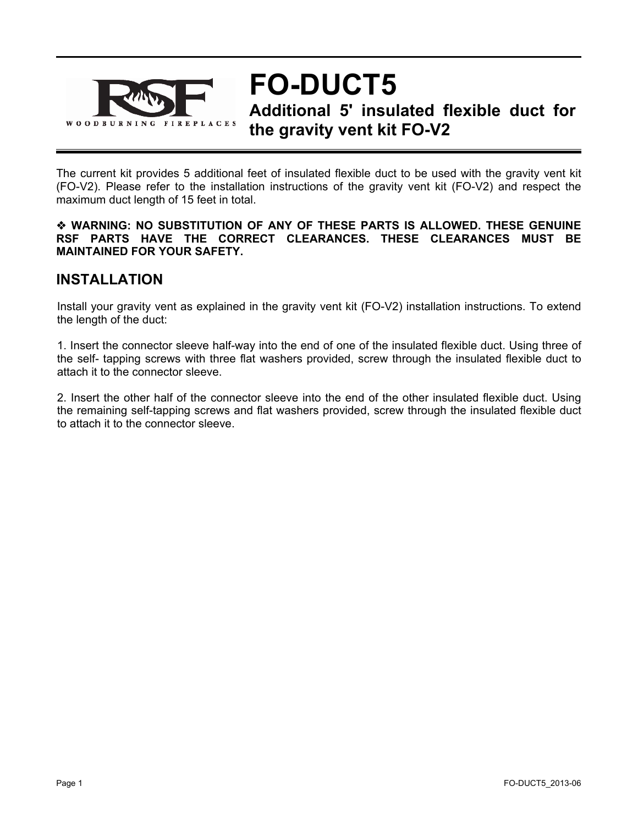

**FO-DUCT5 Additional 5' insulated flexible duct for the gravity vent kit FO-V2** 

The current kit provides 5 additional feet of insulated flexible duct to be used with the gravity vent kit (FO-V2). Please refer to the installation instructions of the gravity vent kit (FO-V2) and respect the maximum duct length of 15 feet in total.

#### **WARNING: NO SUBSTITUTION OF ANY OF THESE PARTS IS ALLOWED. THESE GENUINE RSF PARTS HAVE THE CORRECT CLEARANCES. THESE CLEARANCES MUST BE MAINTAINED FOR YOUR SAFETY.**

### **INSTALLATION**

Install your gravity vent as explained in the gravity vent kit (FO-V2) installation instructions. To extend the length of the duct:

1. Insert the connector sleeve half-way into the end of one of the insulated flexible duct. Using three of the self- tapping screws with three flat washers provided, screw through the insulated flexible duct to attach it to the connector sleeve.

2. Insert the other half of the connector sleeve into the end of the other insulated flexible duct. Using the remaining self-tapping screws and flat washers provided, screw through the insulated flexible duct to attach it to the connector sleeve.